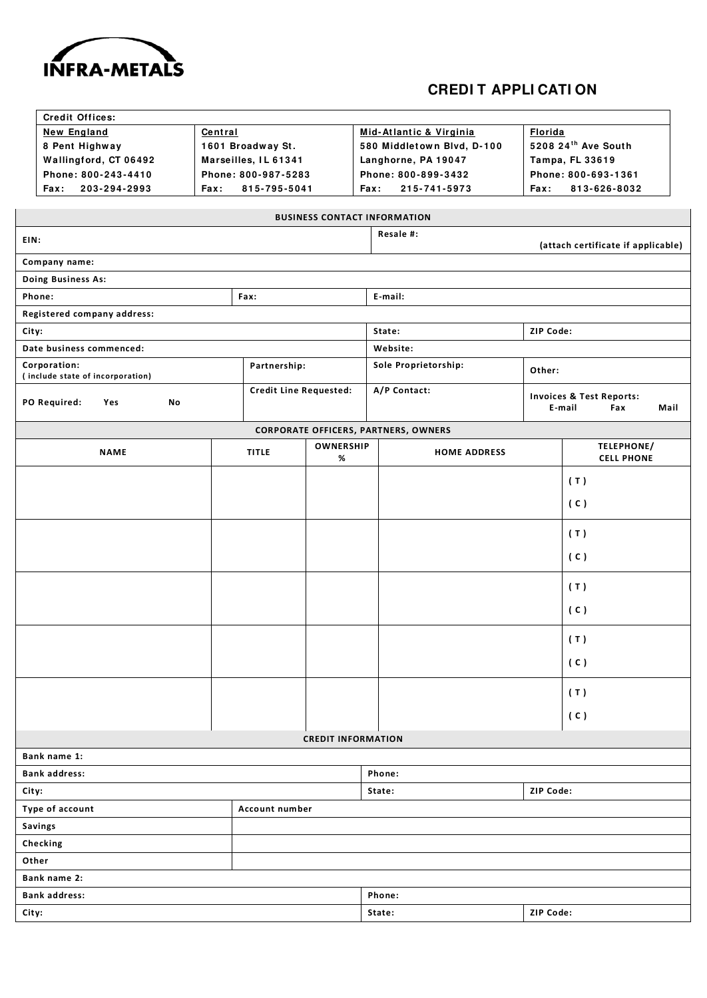

## **CREDI T APPLI CATI ON**

7

|                                                 | <b>Credit Offices:</b>           |      |                               |                           |                                             |                                    |                                                              |
|-------------------------------------------------|----------------------------------|------|-------------------------------|---------------------------|---------------------------------------------|------------------------------------|--------------------------------------------------------------|
| <b>New England</b><br>Central<br>8 Pent Highway |                                  |      |                               | Mid-Atlantic & Virginia   | <b>Florida</b>                              |                                    |                                                              |
|                                                 |                                  |      | 1601 Broadway St.             |                           | 580 Middletown Blvd, D-100                  | 5208 24th Ave South                |                                                              |
|                                                 | Wallingford, CT 06492            |      | Marseilles, IL 61341          |                           | Langhorne, PA 19047                         | Tampa, FL 33619                    |                                                              |
| Phone: 800-243-4410                             |                                  |      | Phone: 800-987-5283           |                           | Phone: 800-899-3432                         | Phone: 800-693-1361                |                                                              |
|                                                 | 203-294-2993<br>Fax:             | Fax: | 815-795-5041                  |                           | Fax:<br>215-741-5973                        | Fax:                               | 813-626-8032                                                 |
|                                                 |                                  |      |                               |                           |                                             |                                    |                                                              |
|                                                 |                                  |      |                               |                           | <b>BUSINESS CONTACT INFORMATION</b>         |                                    |                                                              |
| EIN:                                            |                                  |      |                               |                           | Resale #:                                   | (attach certificate if applicable) |                                                              |
|                                                 | Company name:                    |      |                               |                           |                                             |                                    |                                                              |
|                                                 | Doing Business As:               |      |                               |                           |                                             |                                    |                                                              |
|                                                 | Phone:                           |      | Fax:                          |                           | E-mail:                                     |                                    |                                                              |
|                                                 | Registered company address:      |      |                               |                           |                                             |                                    |                                                              |
| City:                                           |                                  |      |                               |                           | State:<br>ZIP Code:                         |                                    |                                                              |
|                                                 | Date business commenced:         |      |                               |                           | Website:                                    |                                    |                                                              |
|                                                 | Corporation:                     |      | Partnership:                  |                           | Sole Proprietorship:                        |                                    |                                                              |
|                                                 | (include state of incorporation) |      |                               |                           | Other:                                      |                                    |                                                              |
|                                                 | No<br>PO Required:<br>Yes        |      | <b>Credit Line Requested:</b> |                           | A/P Contact:                                |                                    | <b>Invoices &amp; Test Reports:</b><br>E-mail<br>Mail<br>Fax |
|                                                 |                                  |      |                               |                           |                                             |                                    |                                                              |
|                                                 |                                  |      |                               |                           | <b>CORPORATE OFFICERS, PARTNERS, OWNERS</b> |                                    |                                                              |
|                                                 | <b>NAME</b>                      |      | <b>TITLE</b>                  | <b>OWNERSHIP</b><br>%     | <b>HOME ADDRESS</b>                         |                                    | TELEPHONE/<br><b>CELL PHONE</b>                              |
|                                                 |                                  |      |                               |                           |                                             |                                    |                                                              |
|                                                 |                                  |      |                               |                           |                                             |                                    | (T)                                                          |
|                                                 |                                  |      |                               |                           |                                             |                                    | (C)                                                          |
|                                                 |                                  |      |                               |                           |                                             |                                    | (T)                                                          |
|                                                 |                                  |      |                               |                           |                                             |                                    | (C)                                                          |
|                                                 |                                  |      |                               |                           |                                             |                                    | (T)                                                          |
|                                                 |                                  |      |                               |                           |                                             |                                    | (C)                                                          |
|                                                 |                                  |      |                               |                           |                                             |                                    | (T)                                                          |
|                                                 |                                  |      |                               |                           |                                             |                                    | (C)                                                          |
|                                                 |                                  |      |                               |                           |                                             |                                    | (T)                                                          |
|                                                 |                                  |      |                               |                           |                                             |                                    | (C)                                                          |
|                                                 |                                  |      |                               | <b>CREDIT INFORMATION</b> |                                             |                                    |                                                              |
|                                                 | Bank name 1:                     |      |                               |                           |                                             |                                    |                                                              |
|                                                 | <b>Bank address:</b>             |      |                               |                           | Phone:                                      |                                    |                                                              |
|                                                 |                                  |      |                               |                           | State:                                      | ZIP Code:                          |                                                              |
| City:<br>Type of account<br>Account number      |                                  |      |                               |                           |                                             |                                    |                                                              |
|                                                 |                                  |      |                               |                           |                                             |                                    |                                                              |
| <b>Savings</b>                                  |                                  |      |                               |                           |                                             |                                    |                                                              |
| Checking                                        |                                  |      |                               |                           |                                             |                                    |                                                              |
| Other                                           |                                  |      |                               |                           |                                             |                                    |                                                              |
|                                                 | Bank name 2:                     |      |                               |                           |                                             |                                    |                                                              |
| <b>Bank address:</b>                            |                                  |      |                               |                           | Phone:                                      |                                    |                                                              |
| City:                                           |                                  |      |                               |                           | State:                                      | ZIP Code:                          |                                                              |
|                                                 |                                  |      |                               |                           |                                             |                                    |                                                              |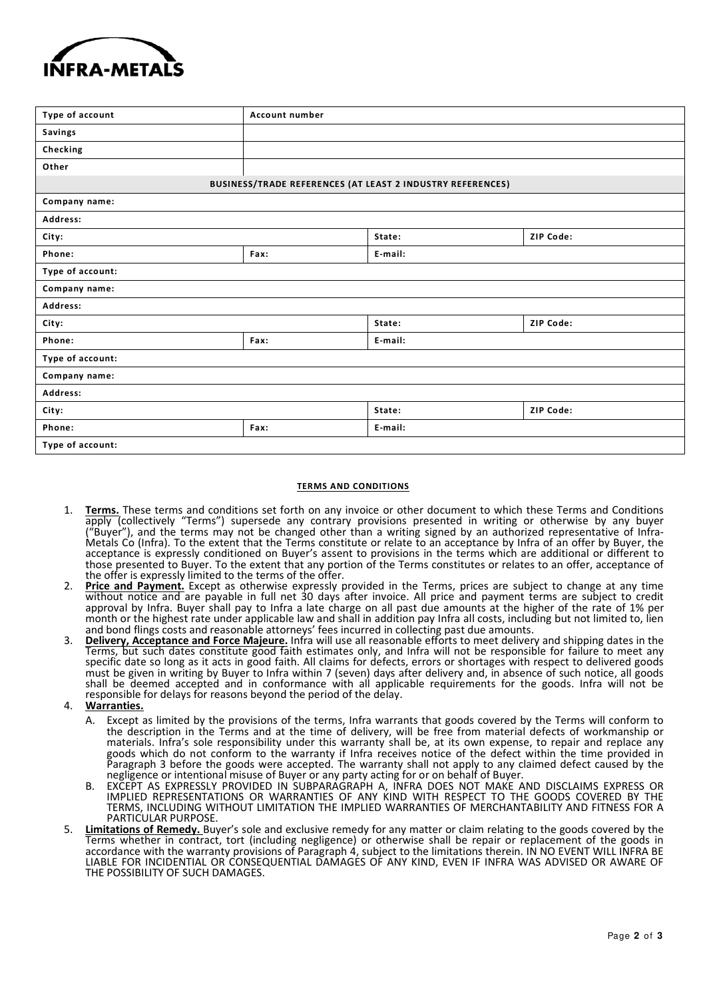

| Type of account  | Account number |                                                            |           |  |  |  |  |
|------------------|----------------|------------------------------------------------------------|-----------|--|--|--|--|
| Savings          |                |                                                            |           |  |  |  |  |
| Checking         |                |                                                            |           |  |  |  |  |
| Other            |                |                                                            |           |  |  |  |  |
|                  |                | BUSINESS/TRADE REFERENCES (AT LEAST 2 INDUSTRY REFERENCES) |           |  |  |  |  |
| Company name:    |                |                                                            |           |  |  |  |  |
| Address:         |                |                                                            |           |  |  |  |  |
| City:            |                | State:                                                     | ZIP Code: |  |  |  |  |
| Phone:           | Fax:           | E-mail:                                                    |           |  |  |  |  |
| Type of account: |                |                                                            |           |  |  |  |  |
| Company name:    |                |                                                            |           |  |  |  |  |
| Address:         |                |                                                            |           |  |  |  |  |
| City:            |                | State:                                                     | ZIP Code: |  |  |  |  |
| Phone:           | Fax:           | E-mail:                                                    |           |  |  |  |  |
| Type of account: |                |                                                            |           |  |  |  |  |
| Company name:    |                |                                                            |           |  |  |  |  |
| Address:         |                |                                                            |           |  |  |  |  |
| City:            |                | State:                                                     | ZIP Code: |  |  |  |  |
| Phone:           | Fax:           | E-mail:                                                    |           |  |  |  |  |
| Type of account: |                |                                                            |           |  |  |  |  |
|                  |                |                                                            |           |  |  |  |  |

## **TERMS AND CONDITIONS**

- 1. **Terms.** These terms and conditions set forth on any invoice or other document to which these Terms and Conditions apply (collectively "Terms") supersede any contrary provisions presented in writing or otherwise by any buyer ("Buyer"), and the terms may not be changed other than a writing signed by an authorized representative of Infra-Metals Co (Infra). To the extent that the Terms constitute or relate to an acceptance by Infra of an offer by Buyer, the acceptance is expressly conditioned on Buyer's assent to provisions in the terms which are additional or different to those presented to Buyer. To the extent that any portion of the Terms constitutes or relates to an offer, acceptance of the offer is expressly limited to the terms of the offer.
- 2. **Price and Payment.** Except as otherwise expressly provided in the Terms, prices are subject to change at any time without notice and are payable in full net 30 days after invoice. All price and payment terms are subject to credit approval by Infra. Buyer shall pay to Infra a late charge on all past due amounts at the higher of the rate of 1% per month or the highest rate under applicable law and shall in addition pay Infra all costs, including but not limited to, lien and bond flings costs and reasonable attorneys' fees incurred in collecting past due amounts.
- 3. **Delivery, Acceptance and Force Majeure.** Infra will use all reasonable efforts to meet delivery and shipping dates in the Terms, but such dates constitute good faith estimates only, and Infra will not be responsible for failure to meet any specific date so long as it acts in good faith. All claims for defects, errors or shortages with respect to delivered goods must be given in writing by Buyer to Infra within 7 (seven) days after delivery and, in absence of such notice, all goods shall be deemed accepted and in conformance with all applicable requirements for the goods. Infra will not be responsible for delays for reasons beyond the period of the delay.
- 4. **Warranties.**
	- A. Except as limited by the provisions of the terms, Infra warrants that goods covered by the Terms will conform to the description in the Terms and at the time of delivery, will be free from material defects of workmanship or materials. Infra's sole responsibility under this warranty shall be, at its own expense, to repair and replace any goods which do not conform to the warranty if Infra receives notice of the defect within the time provided in Paragraph 3 before the goods were accepted. The warranty shall not apply to any claimed defect caused by the negligence or intentional misuse of Buyer or any party acting for or on behalf of Buyer.
	- B. EXCEPT AS EXPRESSLY PROVIDED IN SUBPARAGRAPH A, INFRA DOES NOT MAKE AND DISCLAIMS EXPRESS OR IMPLIED REPRESENTATIONS OR WARRANTIES OF ANY KIND WITH RESPECT TO THE GOODS COVERED BY THE TERMS, INCLUDING WITHOUT LIMITATION THE IMPLIED WARRANTIES OF MERCHANTABILITY AND FITNESS FOR A PARTICULAR PURPOSE
- 5. **Limitations of Remedy.** Buyer's sole and exclusive remedy for any matter or claim relating to the goods covered by the Terms whether in contract, tort (including negligence) or otherwise shall be repair or replacement of the goods in accordance with the warranty provisions of Paragraph 4, subject to the limitations therein. IN NO EVENT WILL INFRA BE LIABLE FOR INCIDENTIAL OR CONSEQUENTIAL DAMAGES OF ANY KIND, EVEN IF INFRA WAS ADVISED OR AWARE OF THE POSSIBILITY OF SUCH DAMAGES.